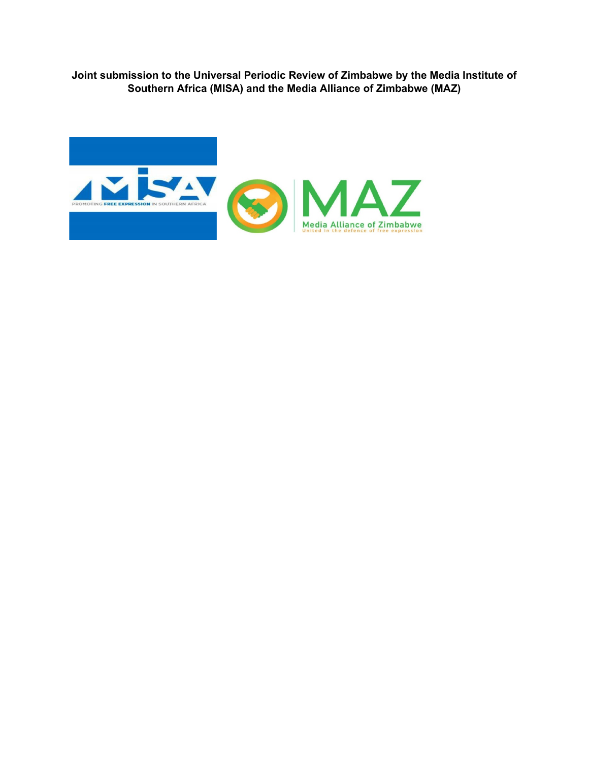**Joint submission to the Universal Periodic Review of Zimbabwe by the Media Institute of Southern Africa (MISA) and the Media Alliance of Zimbabwe (MAZ)**

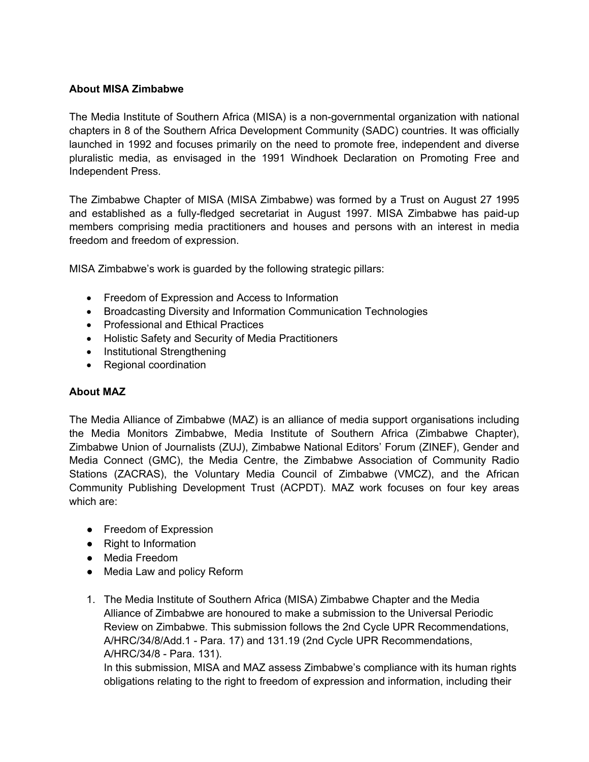### **About MISA Zimbabwe**

The Media Institute of Southern Africa (MISA) is <sup>a</sup> non-governmental organization with national chapters in 8 of the Southern Africa Development Community (SADC) countries. It was officially launched in 1992 and focuses primarily on the need to promote free, independent and diverse pluralistic media, as envisaged in the 1991 Windhoek Declaration on Promoting Free and Independent Press.

The Zimbabwe Chapter of MISA (MISA Zimbabwe) was formed by <sup>a</sup> Trust on August 27 1995 and established as <sup>a</sup> fully-fledged secretariat in August 1997. MISA Zimbabwe has paid-up members comprising media practitioners and houses and persons with an interest in media freedom and freedom of expression.

MISA Zimbabwe'<sup>s</sup> work is guarded by the following strategic pillars:

- Freedom of Expression and Access to Information
- Broadcasting Diversity and Information Communication Technologies
- Professional and Ethical Practices
- Holistic Safety and Security of Media Practitioners
- Institutional Strengthening
- $\bullet$  Regional coordination

### **About MAZ**

The Media Alliance of Zimbabwe (MAZ) is an alliance of media support organisations including the Media Monitors Zimbabwe, Media Institute of Southern Africa (Zimbabwe Chapter), Zimbabwe Union of Journalists (ZUJ), Zimbabwe National Editors' Forum (ZINEF), Gender and Media Connect (GMC), the Media Centre, the Zimbabwe Association of Community Radio Stations (ZACRAS), the Voluntary Media Council of Zimbabwe (VMCZ), and the African Community Publishing Development Trust (ACPDT). MAZ work focuses on four key areas which are:

- Freedom of Expression
- Right to Information
- Media Freedom
- Media Law and policy Reform
- 1. The Media Institute of Southern Africa (MISA) Zimbabwe Chapter and the Media Alliance of Zimbabwe are honoured to make a submission to the Universal Periodic Review on Zimbabwe. This submission follows the 2nd Cycle UPR Recommendations, A/HRC/34/8/Add.1 - Para. 17) and 131.19 (2nd Cycle UPR Recommendations, A/HRC/34/8 - Para. 131).

In this submission, MISA and MAZ assess Zimbabwe'<sup>s</sup> compliance with its human rights obligations relating to the right to freedom of expression and information, including their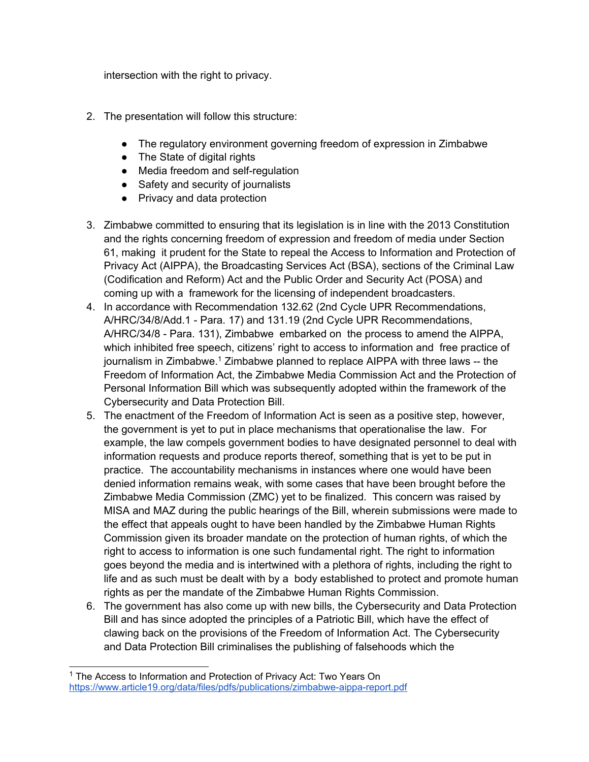intersection with the right to privacy.

- 2. The presentation will follow this structure:
	- The regulatory environment governing freedom of expression in Zimbabwe
	- The State of digital rights
	- Media freedom and self-regulation
	- Safety and security of journalists
	- Privacy and data protection
- 3. Zimbabwe committed to ensuring that its legislation is in line with the 2013 Constitution and the rights concerning freedom of expression and freedom of media under Section 61, making it prudent for the State to repeal the Access to Information and Protection of Privacy Act (AIPPA), the Broadcasting Services Act (BSA), sections of the Criminal Law (Codification and Reform) Act and the Public Order and Security Act (POSA) and coming up with <sup>a</sup> framework for the licensing of independent broadcasters.
- 4. In accordance with Recommendation 132.62 (2nd Cycle UPR Recommendations, A/HRC/34/8/Add.1 - Para. 17) and 131.19 (2nd Cycle UPR Recommendations, A/HRC/34/8 - Para. 131), Zimbabwe embarked on the process to amend the AIPPA, which inhibited free speech, citizens' right to access to information and free practice of journalism in Zimbabwe.<sup>1</sup> Zimbabwe planned to replace AIPPA with three laws -- the Freedom of Information Act, the Zimbabwe Media Commission Act and the Protection of Personal Information Bill which was subsequently adopted within the framework of the Cybersecurity and Data Protection Bill.
- 5. The enactment of the Freedom of Information Act is seen as <sup>a</sup> positive step, however, the government is yet to put in place mechanisms that operationalise the law. For example, the law compels government bodies to have designated personnel to deal with information requests and produce reports thereof, something that is yet to be put in practice. The accountability mechanisms in instances where one would have been denied information remains weak, with some cases that have been brought before the Zimbabwe Media Commission (ZMC) yet to be finalized. This concern was raised by MISA and MAZ during the public hearings of the Bill, wherein submissions were made to the effect that appeals ought to have been handled by the Zimbabwe Human Rights Commission given its broader mandate on the protection of human rights, of which the right to access to information is one such fundamental right. The right to information goes beyond the media and is intertwined with <sup>a</sup> plethora of rights, including the right to life and as such must be dealt with by <sup>a</sup> body established to protect and promote human rights as per the mandate of the Zimbabwe Human Rights Commission.
- 6. The government has also come up with new bills, the Cybersecurity and Data Protection Bill and has since adopted the principles of <sup>a</sup> Patriotic Bill, which have the effect of clawing back on the provisions of the Freedom of Information Act. The Cybersecurity and Data Protection Bill criminalises the publishing of falsehoods which the

<sup>&</sup>lt;sup>1</sup> The Access to Information and Protection of Privacy Act: Two Years On <https://www.article19.org/data/files/pdfs/publications/zimbabwe-aippa-report.pdf>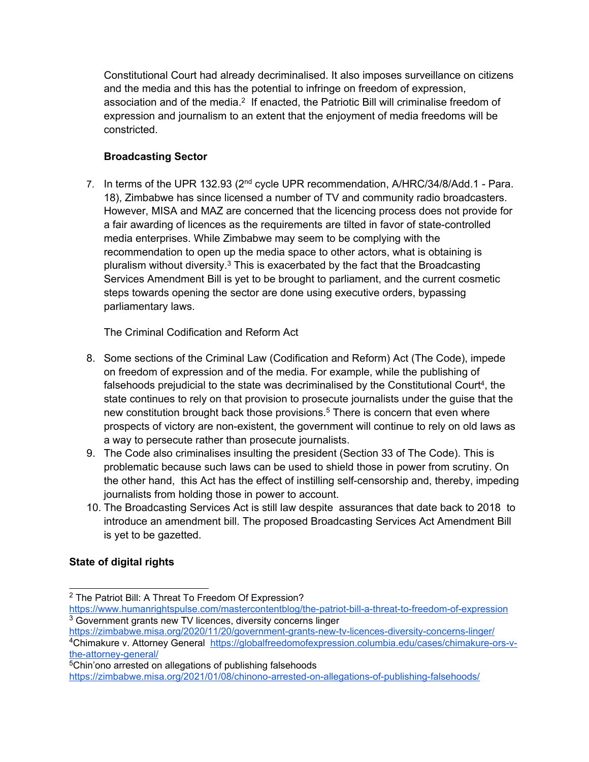Constitutional Court had already decriminalised. It also imposes surveillance on citizens and the media and this has the potential to infringe on freedom of expression, association and of the media.<sup>2</sup> If enacted, the Patriotic Bill will criminalise freedom of expression and journalism to an extent that the enjoyment of media freedoms will be constricted.

## **Broadcasting Sector**

7. In terms of the UPR 132.93 (2<sup>nd</sup> cycle UPR recommendation, A/HRC/34/8/Add.1 - Para. 18), Zimbabwe has since licensed <sup>a</sup> number of TV and community radio broadcasters. However, MISA and MAZ are concerned that the licencing process does not provide for <sup>a</sup> fair awarding of licences as the requirements are tilted in favor of state-controlled media enterprises. While Zimbabwe may seem to be complying with the recommendation to open up the media space to other actors, what is obtaining is pluralism without diversity.<sup>3</sup> This is exacerbated by the fact that the Broadcasting Services Amendment Bill is yet to be brought to parliament, and the current cosmetic steps towards opening the sector are done using executive orders, bypassing parliamentary laws.

The Criminal Codification and Reform Act

- 8. Some sections of the Criminal Law (Codification and Reform) Act (The Code), impede on freedom of expression and of the media. For example, while the publishing of falsehoods prejudicial to the state was decriminalised by the Constitutional Court<sup>4</sup>, the state continues to rely on that provision to prosecute journalists under the guise that the new constitution brought back those provisions. 5 There is concern that even where prospects of victory are non-existent, the government will continue to rely on old laws as <sup>a</sup> way to persecute rather than prosecute journalists.
- 9. The Code also criminalises insulting the president (Section 33 of The Code). This is problematic because such laws can be used to shield those in power from scrutiny. On the other hand, this Act has the effect of instilling self-censorship and, thereby, impeding journalists from holding those in power to account.
- 10. The Broadcasting Services Act is still law despite assurances that date back to 2018 to introduce an amendment bill. The proposed Broadcasting Services Act Amendment Bill is yet to be gazetted.

# **State of digital rights**

<sup>&</sup>lt;sup>2</sup> The Patriot Bill: A Threat To Freedom Of Expression?

<https://www.humanrightspulse.com/mastercontentblog/the-patriot-bill-a-threat-to-freedom-of-expression> <sup>3</sup> Government grants new TV licences, diversity concerns linger

<https://zimbabwe.misa.org/2020/11/20/government-grants-new-tv-licences-diversity-concerns-linger/> <sup>4</sup>Chimakure v. Attorney General [https://globalfreedomofexpression.columbia.edu/cases/chimakure-ors-v](https://globalfreedomofexpression.columbia.edu/cases/chimakure-ors-v-the-attorney-general/)[the-attorney-general/](https://globalfreedomofexpression.columbia.edu/cases/chimakure-ors-v-the-attorney-general/)

<sup>5</sup>Chin'ono arrested on allegations of publishing falsehoods <https://zimbabwe.misa.org/2021/01/08/chinono-arrested-on-allegations-of-publishing-falsehoods/>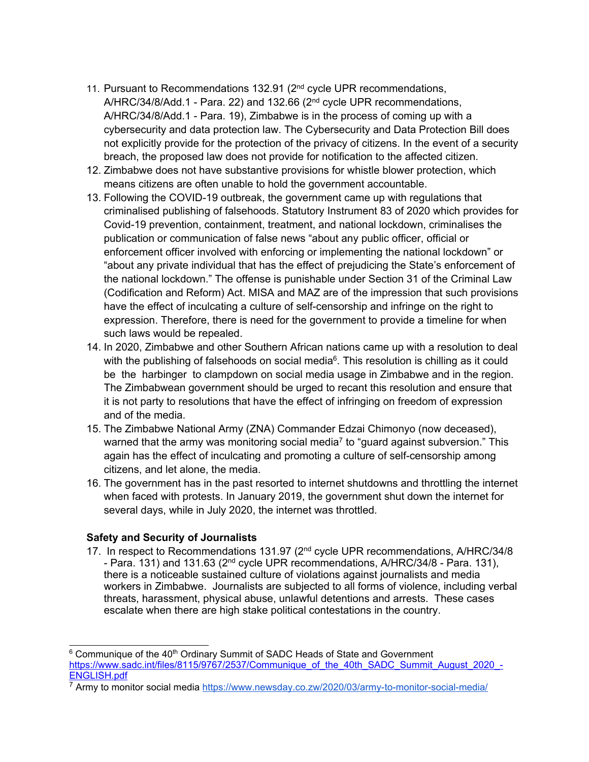- 11. Pursuant to Recommendations 132.91 (2<sup>nd</sup> cycle UPR recommendations, A/HRC/34/8/Add.1 - Para. 22) and 132.66 (2<sup>nd</sup> cycle UPR recommendations, A/HRC/34/8/Add.1 - Para. 19), Zimbabwe is in the process of coming up with <sup>a</sup> cybersecurity and data protection law. The Cybersecurity and Data Protection Bill does not explicitly provide for the protection of the privacy of citizens. In the event of <sup>a</sup> security breach, the proposed law does not provide for notification to the affected citizen.
- 12. Zimbabwe does not have substantive provisions for whistle blower protection, which means citizens are often unable to hold the government accountable.
- 13. Following the COVID-19 outbreak, the government came up with regulations that criminalised publishing of falsehoods. Statutory Instrument 83 of 2020 which provides for Covid-19 prevention, containment, treatment, and national lockdown, criminalises the publication or communication of false news "about any public officer, official or enforcement officer involved with enforcing or implementing the national lockdown" or "about any private individual that has the effect of prejudicing the State'<sup>s</sup> enforcement of the national lockdown." The offense is punishable under Section 31 of the Criminal Law (Codification and Reform) Act. MISA and MAZ are of the impression that such provisions have the effect of inculcating <sup>a</sup> culture of self-censorship and infringe on the right to expression. Therefore, there is need for the government to provide <sup>a</sup> timeline for when such laws would be repealed.
- 14. In 2020, Zimbabwe and other Southern African nations came up with <sup>a</sup> resolution to deal with the publishing of falsehoods on social media $^{\rm 6}$ . This resolution is chilling as it could be the harbinger to clampdown on social media usage in Zimbabwe and in the region. The Zimbabwean government should be urged to recant this resolution and ensure that it is not party to resolutions that have the effect of infringing on freedom of expression and of the media.
- 15. The Zimbabwe National Army (ZNA) Commander Edzai Chimonyo (now deceased), warned that the army was monitoring social media<sup>7</sup> to "guard against subversion." This again has the effect of inculcating and promoting <sup>a</sup> culture of self-censorship among citizens, and let alone, the media.
- 16. The government has in the past resorted to internet shutdowns and throttling the internet when faced with protests. In January 2019, the government shut down the internet for several days, while in July 2020, the internet was throttled.

### **Safety and Security of Journalists**

17. In respect to Recommendations 131.97 (2<sup>nd</sup> cycle UPR recommendations, A/HRC/34/8 - Para. 131) and 131.63 (2nd cycle UPR recommendations, A/HRC/34/8 - Para. 131), there is <sup>a</sup> noticeable sustained culture of violations against journalists and media workers in Zimbabwe. Journalists are subjected to all forms of violence, including verbal threats, harassment, physical abuse, unlawful detentions and arrests. These cases escalate when there are high stake political contestations in the country.

 $6$  Communique of the 40<sup>th</sup> Ordinary Summit of SADC Heads of State and Government [https://www.sadc.int/files/8115/9767/2537/Communique\\_of\\_the\\_40th\\_SADC\\_Summit\\_August\\_2020\\_-](https://www.sadc.int/files/8115/9767/2537/Communique_of_the_40th_SADC_Summit_August_2020_-ENGLISH.pdf) [ENGLISH.pdf](https://www.sadc.int/files/8115/9767/2537/Communique_of_the_40th_SADC_Summit_August_2020_-ENGLISH.pdf)

<sup>&</sup>lt;sup>7</sup> Army to monitor social media <https://www.newsday.co.zw/2020/03/army-to-monitor-social-media/>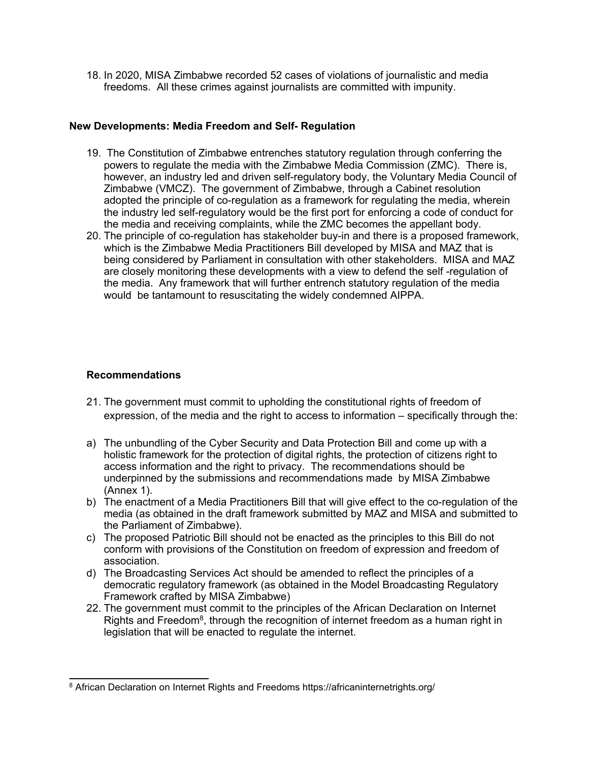18. In 2020, MISA Zimbabwe recorded 52 cases of violations of journalistic and media freedoms. All these crimes against journalists are committed with impunity.

#### **New Developments: Media Freedom and Self- Regulation**

- 19. The Constitution of Zimbabwe entrenches statutory regulation through conferring the powers to regulate the media with the Zimbabwe Media Commission (ZMC). There is, however, an industry led and driven self-regulatory body, the Voluntary Media Council of Zimbabwe (VMCZ). The government of Zimbabwe, through <sup>a</sup> Cabinet resolution adopted the principle of co-regulation as <sup>a</sup> framework for regulating the media, wherein the industry led self-regulatory would be the first port for enforcing <sup>a</sup> code of conduct for the media and receiving complaints, while the ZMC becomes the appellant body.
- 20. The principle of co-regulation has stakeholder buy-in and there is <sup>a</sup> proposed framework, which is the Zimbabwe Media Practitioners Bill developed by MISA and MAZ that is being considered by Parliament in consultation with other stakeholders. MISA and MAZ are closely monitoring these developments with <sup>a</sup> view to defend the self -regulation of the media. Any framework that will further entrench statutory regulation of the media would be tantamount to resuscitating the widely condemned AIPPA.

#### **Recommendations**

- 21. The government must commit to upholding the constitutional rights of freedom of expression, of the media and the right to access to information – specifically through the:
- a) The unbundling of the Cyber Security and Data Protection Bill and come up with <sup>a</sup> holistic framework for the protection of digital rights, the protection of citizens right to access information and the right to privacy. The recommendations should be underpinned by the submissions and recommendations made by MISA Zimbabwe (Annex 1).
- b) The enactment of <sup>a</sup> Media Practitioners Bill that will give effect to the co-regulation of the media (as obtained in the draft framework submitted by MAZ and MISA and submitted to the Parliament of Zimbabwe).
- c) The proposed Patriotic Bill should not be enacted as the principles to this Bill do not conform with provisions of the Constitution on freedom of expression and freedom of association.
- d) The Broadcasting Services Act should be amended to reflect the principles of <sup>a</sup> democratic regulatory framework (as obtained in the Model Broadcasting Regulatory Framework crafted by MISA Zimbabwe)
- 22. The government must commit to the principles of the African Declaration on Internet Rights and Freedom $^8$ , through the recognition of internet freedom as a human right in legislation that will be enacted to regulate the internet.

<sup>8</sup> African Declaration on Internet Rights and Freedoms https://africaninternetrights.org/